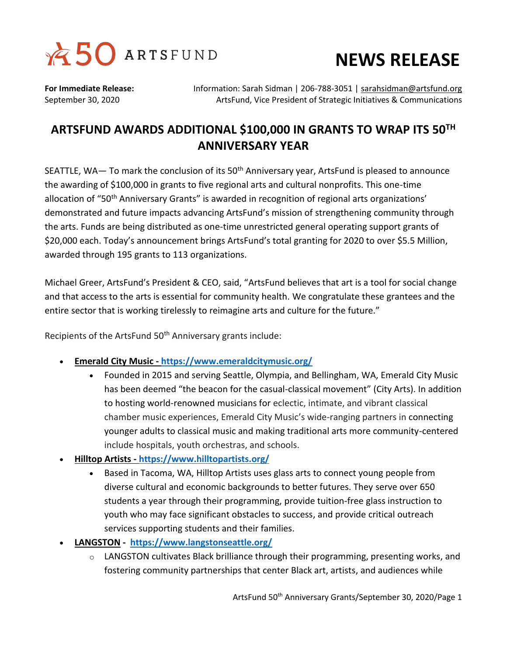

## **NEWS RELEASE**

**For Immediate Release:** Information: Sarah Sidman | 206-788-3051 | [sarahsidman@artsfund.org](mailto:sarahsidman@artsfund.org) September 30, 2020 ArtsFund, Vice President of Strategic Initiatives & Communications

## **ARTSFUND AWARDS ADDITIONAL \$100,000 IN GRANTS TO WRAP ITS 50TH ANNIVERSARY YEAR**

SEATTLE, WA— To mark the conclusion of its  $50<sup>th</sup>$  Anniversary year, ArtsFund is pleased to announce the awarding of \$100,000 in grants to five regional arts and cultural nonprofits. This one-time allocation of "50<sup>th</sup> Anniversary Grants" is awarded in recognition of regional arts organizations' demonstrated and future impacts advancing ArtsFund's mission of strengthening community through the arts. Funds are being distributed as one-time unrestricted general operating support grants of \$20,000 each. Today's announcement brings ArtsFund's total granting for 2020 to over \$5.5 Million, awarded through 195 grants to 113 organizations.

Michael Greer, ArtsFund's President & CEO, said, "ArtsFund believes that art is a tool for social change and that access to the arts is essential for community health. We congratulate these grantees and the entire sector that is working tirelessly to reimagine arts and culture for the future."

Recipients of the ArtsFund 50<sup>th</sup> Anniversary grants include:

- **Emerald City Music - <https://www.emeraldcitymusic.org/>**
	- Founded in 2015 and serving Seattle, Olympia, and Bellingham, WA, Emerald City Music has been deemed "the beacon for the casual-classical movement" (City Arts). In addition to hosting world-renowned musicians for eclectic, intimate, and vibrant classical chamber music experiences, Emerald City Music's wide-ranging partners in connecting younger adults to classical music and making traditional arts more community-centered include hospitals, youth orchestras, and schools.
- **Hilltop Artists - <https://www.hilltopartists.org/>**
	- Based in Tacoma, WA, Hilltop Artists uses glass arts to connect young people from diverse cultural and economic backgrounds to better futures. They serve over 650 students a year through their programming, provide tuition-free glass instruction to youth who may face significant obstacles to success, and provide critical outreach services supporting students and their families.
- **LANGSTON - <https://www.langstonseattle.org/>**
	- $\circ$  LANGSTON cultivates Black brilliance through their programming, presenting works, and fostering community partnerships that center Black art, artists, and audiences while